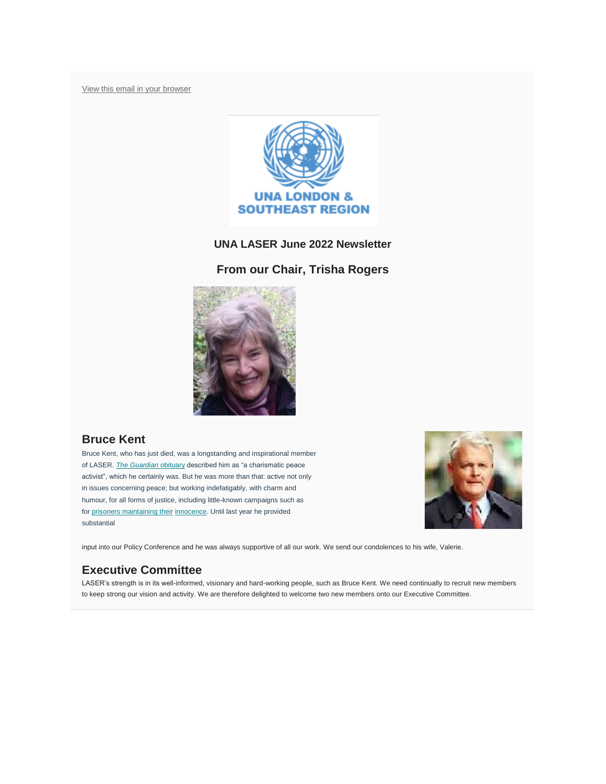[View this email in your browser](https://mailchi.mp/0c5d3d9e8224/laser-newsletter-november-20161053?e=7b19b52a1f)



#### **UNA LASER June 2022 Newsletter**

### **From our Chair, Trisha Rogers**



## **Bruce Kent**

Bruce Kent, who has just died, was a longstanding and inspirational member of LASER. *[The Guardian](https://www.theguardian.com/world/2022/jun/09/bruce-kent-obituary)* obituary described him as "a charismatic peace activist", which he certainly was. But he was more than that: active not only in issues concerning peace; but working indefatigably, with charm and humour, for all forms of justice, including little-known campaigns such as for [prisoners maintaining their](https://www.prisonersmaintaininginnocence.org.uk/) [innocence.](https://www.prisonersmaintaininginnocence.org.uk/) Until last year he provided substantial



input into our Policy Conference and he was always supportive of all our work. We send our condolences to his wife, Valerie.

## **Executive Committee**

LASER"s strength is in its well-informed, visionary and hard-working people, such as Bruce Kent. We need continually to recruit new members to keep strong our vision and activity. We are therefore delighted to welcome two new members onto our Executive Committee.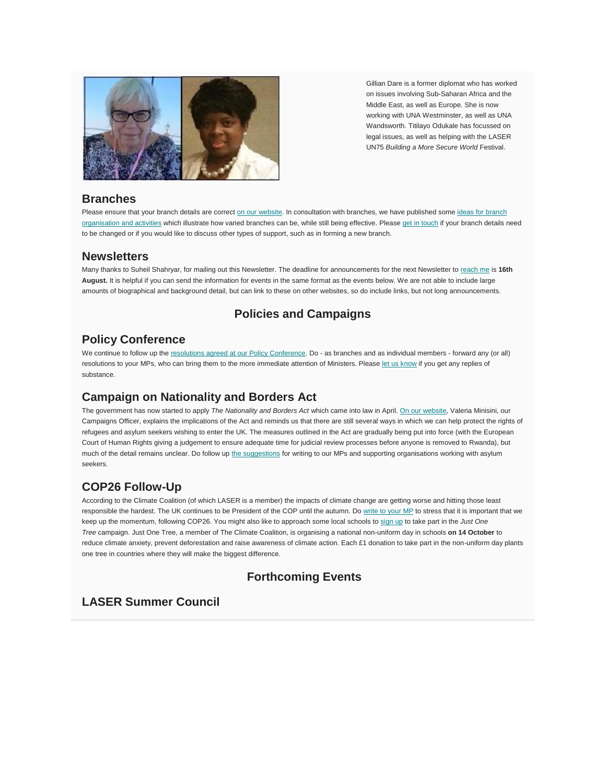

Gillian Dare is a former diplomat who has worked on issues involving Sub-Saharan Africa and the Middle East, as well as Europe. She is now working with UNA Westminster, as well as UNA Wandsworth. Titilayo Odukale has focussed on legal issues, as well as helping with the LASER UN75 *Building a More Secure World* Festival.

### **Branches**

Please ensure that your branch details are correct [on our website.](https://unalaser.org/branches) In consultation with branches, we have published some ideas for branch [organisation and activities](https://unalaser.org/wp-content/uploads/2021/02/Branch-Ideas.pdf) which illustrate how varied branches can be, while still being effective. Please [get in touch](mailto:contact@unalaser.org) if your branch details need to be changed or if you would like to discuss other types of support, such as in forming a new branch.

#### **Newsletters**

Many thanks to Suheil Shahryar, for mailing out this Newsletter. The deadline for announcements for the next Newsletter to [reach me](mailto:contact@unalaser.org) is **16th August.** It is helpful if you can send the information for events in the same format as the events below. We are not able to include large amounts of biographical and background detail, but can link to these on other websites, so do include links, but not long announcements.

## **Policies and Campaigns**

### **Policy Conference**

We continue to follow up the [resolutions agreed at our Policy Conference.](https://unalaser.org/our-current-resolutions) Do - as branches and as individual members - forward any (or all) resolutions to your MPs, who can bring them to the more immediate attention of Ministers. Please [let us know](mailto:webster.home@btinternet.com) if you get any replies of substance.

## **Campaign on Nationality and Borders Act**

The government has now started to apply *The Nationality and Borders Act* which came into law in April. [On our website,](https://unalaser.org/the-uk-must-protect-human-lives-as-the-nationality-and-borders-act-comes-into-force) Valeria Minisini, our Campaigns Officer, explains the implications of the Act and reminds us that there are still several ways in which we can help protect the rights of refugees and asylum seekers wishing to enter the UK. The measures outlined in the Act are gradually being put into force (with the European Court of Human Rights giving a judgement to ensure adequate time for judicial review processes before anyone is removed to Rwanda), but much of the detail remains unclear. Do follow up [the suggestions](https://unalaser.org/the-uk-must-protect-human-lives-as-the-nationality-and-borders-act-comes-into-force) for writing to our MPs and supporting organisations working with asylum seekers.

# **COP26 Follow-Up**

According to the Climate Coalition (of which LASER is a member) the impacts of climate change are getting worse and hitting those least responsible the hardest. The UK continues to be President of the COP until the autumn. Do [write to your MP](https://www.theclimatecoalition.org/show-the-love/green-heart-mp-action?utm_term=0_5d9d4008a3-f6bbf2f448-44278650) to stress that it is important that we keep up the momentum, following COP26. You might also like to approach some local schools to [sign up](https://www.justonetree.life/schools-sustainability.html) to take part in the *Just One Tree* campaign. Just One Tree, a member of The Climate Coalition, is organising a national non-uniform day in schools **on 14 October** to reduce climate anxiety, prevent deforestation and raise awareness of climate action. Each £1 donation to take part in the non-uniform day plants one tree in countries where they will make the biggest difference.

## **Forthcoming Events**

## **LASER Summer Council**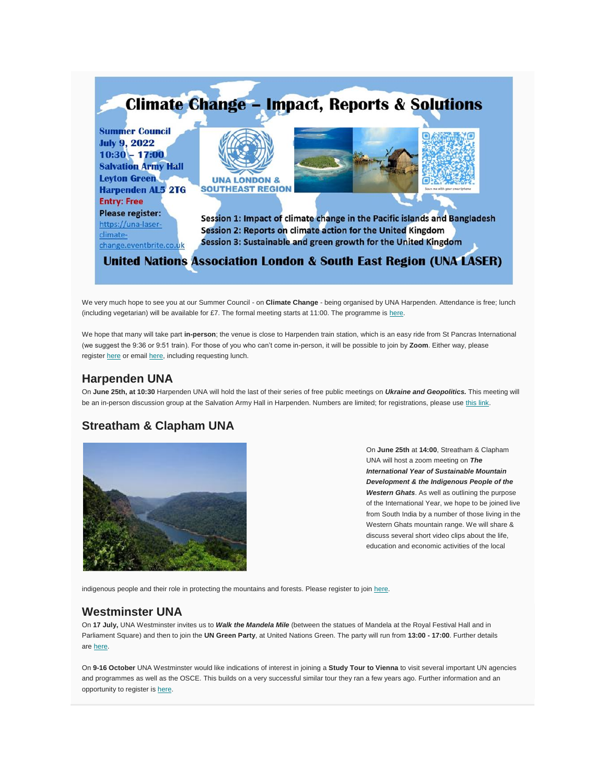

We very much hope to see you at our Summer Council - on **Climate Change** - being organised by UNA Harpenden. Attendance is free; lunch (including vegetarian) will be available for £7. The formal meeting starts at 11:00. The programme is [here.](https://unalaser.org/una-laser-2022-summer-council-programme)

We hope that many will take part **in-person**; the venue is close to Harpenden train station, which is an easy ride from St Pancras International (we suggest the 9:36 or 9:51 train). For those of you who can"t come in-person, it will be possible to join by **Zoom**. Either way, please register [here](https://una-laser-climate-change.eventbrite.co.uk/) or email [here,](mailto:una.harpenden@gmail.com) including requesting lunch.

### **Harpenden UNA**

On **June 25th, at 10:30** Harpenden UNA will hold the last of their series of free public meetings on *Ukraine and Geopolitics.* This meeting will be an in-person discussion group at the Salvation Army Hall in Harpenden. Numbers are limited; for registrations, please use [this link.](https://ukraine-geopolitics.eventbrite.co.uk/)

### **Streatham & Clapham UNA**



On **June 25th** at **14:00**, Streatham & Clapham UNA will host a zoom meeting on *The International Year of Sustainable Mountain Development & the Indigenous People of the Western Ghats*. As well as outlining the purpose of the International Year, we hope to be joined live from South India by a number of those living in the Western Ghats mountain range. We will share & discuss several short video clips about the life, education and economic activities of the local

indigenous people and their role in protecting the mountains and forests. Please register to join [here.](https://us02web.zoom.us/meeting/register/tZwucOiprzgrHNNtX-K2w4sDAxGhIJl4kwWO)

## **Westminster UNA**

On **17 July,** UNA Westminster invites us to *Walk the Mandela Mile* (between the statues of Mandela at the Royal Festival Hall and in Parliament Square) and then to join the **UN Green Party**, at United Nations Green. The party will run from **13:00 - 17:00**. Further details are [here.](https://www.eventbrite.co.uk/e/walk-the-mandela-mile-just-you-and-nelson-here-in-central-london-tickets-367491556137)

On **9-16 October** UNA Westminster would like indications of interest in joining a **Study Tour to Vienna** to visit several important UN agencies and programmes as well as the OSCE. This builds on a very successful similar tour they ran a few years ago. Further information and an opportunity to register is [here.](https://www.eventbrite.co.uk/e/study-visit-to-the-united-nations-in-vienna-tickets-365619215917)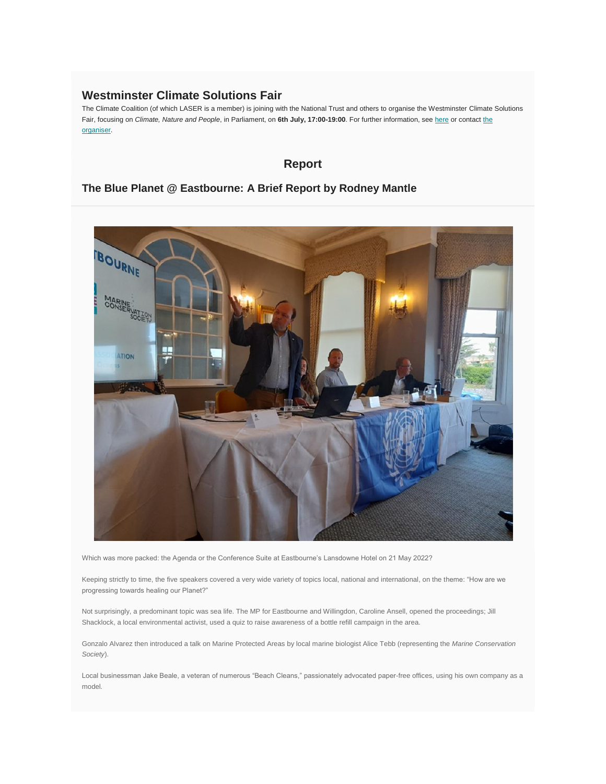### **Westminster Climate Solutions Fair**

The Climate Coalition (of which LASER is a member) is joining with the National Trust and others to organise the Westminster Climate Solutions Fair, focusing on *Climate, Nature and People*, in Parliament, on **6th July, 17:00-19:00**. For further information, see [here](https://docs.google.com/document/d/1P4EoJQGuubCkDFdoT0aQqhqNxrrfFt7qSUuxmJRho7A/edit) or contact [the](mailto:joel.silver@nationaltrust.org.uk)  [organiser.](mailto:joel.silver@nationaltrust.org.uk)

## **Report**

### **The Blue Planet @ Eastbourne: A Brief Report by Rodney Mantle**



Which was more packed: the Agenda or the Conference Suite at Eastbourne"s Lansdowne Hotel on 21 May 2022?

Keeping strictly to time, the five speakers covered a very wide variety of topics local, national and international, on the theme: "How are we progressing towards healing our Planet?"

Not surprisingly, a predominant topic was sea life. The MP for Eastbourne and Willingdon, Caroline Ansell, opened the proceedings; Jill Shacklock, a local environmental activist, used a quiz to raise awareness of a bottle refill campaign in the area.

Gonzalo Alvarez then introduced a talk on Marine Protected Areas by local marine biologist Alice Tebb (representing the *Marine Conservation Society*).

Local businessman Jake Beale, a veteran of numerous "Beach Cleans," passionately advocated paper-free offices, using his own company as a model.